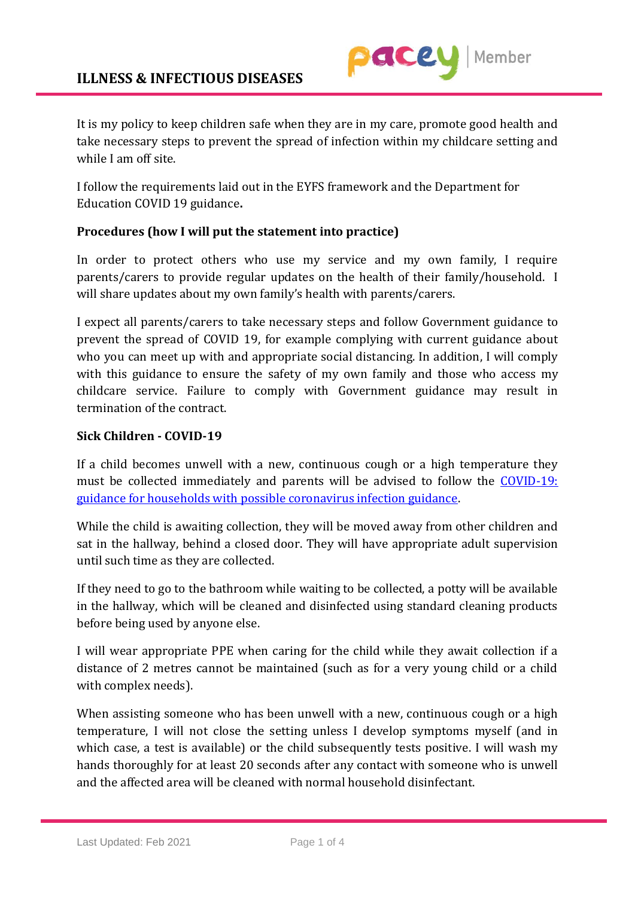

It is my policy to keep children safe when they are in my care, promote good health and take necessary steps to prevent the spread of infection within my childcare setting and while I am off site.

I follow the requirements laid out in the EYFS framework and the Department for Education COVID 19 guidance**.**

## **Procedures (how I will put the statement into practice)**

In order to protect others who use my service and my own family, I require parents/carers to provide regular updates on the health of their family/household. I will share updates about my own family's health with parents/carers.

I expect all parents/carers to take necessary steps and follow Government guidance to prevent the spread of COVID 19, for example complying with current guidance about who you can meet up with and appropriate social distancing. In addition, I will comply with this guidance to ensure the safety of my own family and those who access my childcare service. Failure to comply with Government guidance may result in termination of the contract.

## **Sick Children - COVID-19**

If a child becomes unwell with a new, continuous cough or a high temperature they must be collected immediately and parents will be advised to follow the [COVID-19:](https://www.gov.uk/government/publications/covid-19-stay-at-home-guidance)  [guidance for households with possible coronavirus infection guidance.](https://www.gov.uk/government/publications/covid-19-stay-at-home-guidance)

While the child is awaiting collection, they will be moved away from other children and sat in the hallway, behind a closed door. They will have appropriate adult supervision until such time as they are collected.

If they need to go to the bathroom while waiting to be collected, a potty will be available in the hallway, which will be cleaned and disinfected using standard cleaning products before being used by anyone else.

I will wear appropriate PPE when caring for the child while they await collection if a distance of 2 metres cannot be maintained (such as for a very young child or a child with complex needs).

When assisting someone who has been unwell with a new, continuous cough or a high temperature, I will not close the setting unless I develop symptoms myself (and in which case, a test is available) or the child subsequently tests positive. I will wash my hands thoroughly for at least 20 seconds after any contact with someone who is unwell and the affected area will be cleaned with normal household disinfectant.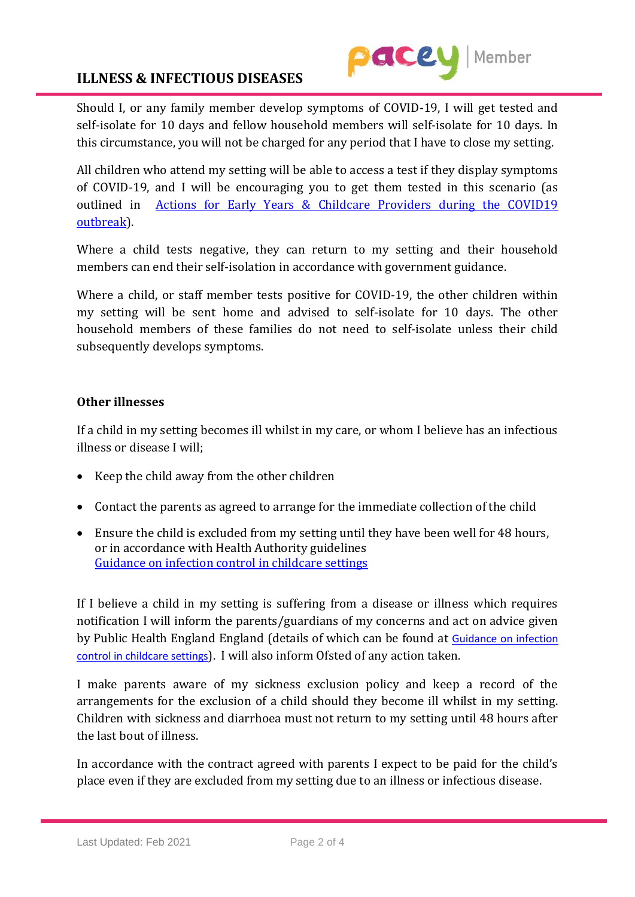

## **ILLNESS & INFECTIOUS DISEASES**

Should I, or any family member develop symptoms of COVID-19, I will get tested and self-isolate for 10 days and fellow household members will self-isolate for 10 days. In this circumstance, you will not be charged for any period that I have to close my setting.

All children who attend my setting will be able to access a test if they display symptoms of COVID-19, and I will be encouraging you to get them tested in this scenario (as outlined in [Actions for Early Years & Childcare Providers during the COVID19](https://www.gov.uk/government/publications/coronavirus-covid-19-early-years-and-childcare-closures/coronavirus-covid-19-early-years-and-childcare-closures)  [outbreak\)](https://www.gov.uk/government/publications/coronavirus-covid-19-early-years-and-childcare-closures/coronavirus-covid-19-early-years-and-childcare-closures).

Where a child tests negative, they can return to my setting and their household members can end their self-isolation in accordance with government guidance.

Where a child, or staff member tests positive for COVID-19, the other children within my setting will be sent home and advised to self-isolate for 10 days. The other household members of these families do not need to self-isolate unless their child subsequently develops symptoms.

#### **Other illnesses**

If a child in my setting becomes ill whilst in my care, or whom I believe has an infectious illness or disease I will;

- Keep the child away from the other children
- Contact the parents as agreed to arrange for the immediate collection of the child
- Ensure the child is excluded from my setting until they have been well for 48 hours, or in accordance with Health Authority guidelines [Guidance on infection control in childcare settings](https://www.publichealth.hscni.net/sites/default/files/Guidance_on_infection_control_in%20schools_poster.pdf)

If I believe a child in my setting is suffering from a disease or illness which requires notification I will inform the parents/guardians of my concerns and act on advice given by Public Health England England (details of which can be found at [Guidance on infection](https://www.publichealth.hscni.net/sites/default/files/Guidance_on_infection_control_in%20schools_poster.pdf)  [control in childcare settings](https://www.publichealth.hscni.net/sites/default/files/Guidance_on_infection_control_in%20schools_poster.pdf)). I will also inform Ofsted of any action taken.

I make parents aware of my sickness exclusion policy and keep a record of the arrangements for the exclusion of a child should they become ill whilst in my setting. Children with sickness and diarrhoea must not return to my setting until 48 hours after the last bout of illness.

In accordance with the contract agreed with parents I expect to be paid for the child's place even if they are excluded from my setting due to an illness or infectious disease.

Last Updated: Feb 2021 Page 2 of 4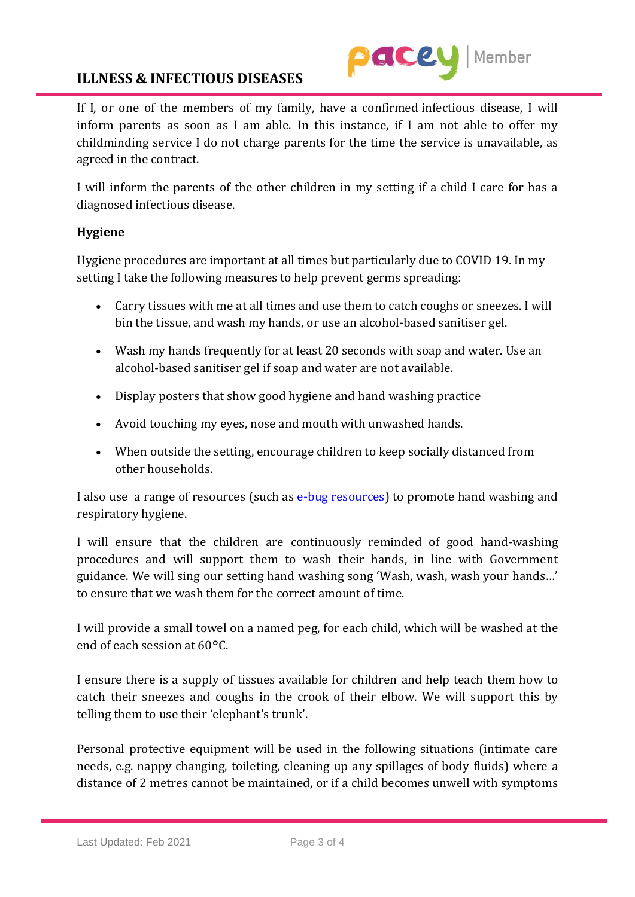## **ILLNESS & INFECTIOUS DISEASES**



If I, or one of the members of my family, have a confirmed infectious disease, I will inform parents as soon as I am able. In this instance, if I am not able to offer my childminding service I do not charge parents for the time the service is unavailable, as agreed in the contract.

I will inform the parents of the other children in my setting if a child I care for has a diagnosed infectious disease.

## **Hygiene**

Hygiene procedures are important at all times but particularly due to COVID 19. In my setting I take the following measures to help prevent germs spreading:

- Carry tissues with me at all times and use them to catch coughs or sneezes. I will bin the tissue, and wash my hands, or use an alcohol-based sanitiser gel.
- Wash my hands frequently for at least 20 seconds with soap and water. Use an alcohol-based sanitiser gel if soap and water are not available.
- Display posters that show good hygiene and hand washing practice
- Avoid touching my eyes, nose and mouth with unwashed hands.
- When outside the setting, encourage children to keep socially distanced from other households.

I also use [a range of resources \(such as e-bug resources\)](https://campaignresources.phe.gov.uk/schools) to promote hand washing and respiratory hygiene.

I will ensure that the children are continuously reminded of good hand-washing procedures and will support them to wash their hands, in line with Government guidance. We will sing our setting hand washing song 'Wash, wash, wash your hands…' to ensure that we wash them for the correct amount of time.

I will provide a small towel on a named peg, for each child, which will be washed at the end of each session at 60°C.

I ensure there is a supply of tissues available for children and help teach them how to catch their sneezes and coughs in the crook of their elbow. We will support this by telling them to use their 'elephant's trunk'.

Personal protective equipment will be used in the following situations (intimate care needs, e.g. nappy changing, toileting, cleaning up any spillages of body fluids) where a distance of 2 metres cannot be maintained, or if a child becomes unwell with symptoms

Last Updated: Feb 2021 Page 3 of 4